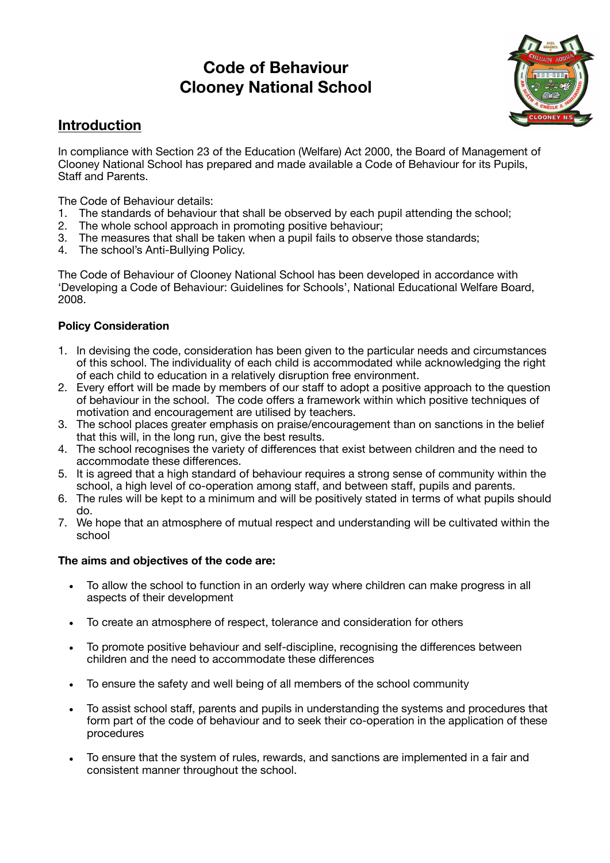# **Code of Behaviour Clooney National School**



## **Introduction**

In compliance with Section 23 of the Education (Welfare) Act 2000, the Board of Management of Clooney National School has prepared and made available a Code of Behaviour for its Pupils, Staff and Parents.

The Code of Behaviour details:

- 1. The standards of behaviour that shall be observed by each pupil attending the school;
- 2. The whole school approach in promoting positive behaviour;
- 3. The measures that shall be taken when a pupil fails to observe those standards;
- 4. The school's Anti-Bullying Policy.

The Code of Behaviour of Clooney National School has been developed in accordance with 'Developing a Code of Behaviour: Guidelines for Schools', National Educational Welfare Board, 2008.

#### **Policy Consideration**

- 1. In devising the code, consideration has been given to the particular needs and circumstances of this school. The individuality of each child is accommodated while acknowledging the right of each child to education in a relatively disruption free environment.
- 2. Every effort will be made by members of our staff to adopt a positive approach to the question of behaviour in the school. The code offers a framework within which positive techniques of motivation and encouragement are utilised by teachers.
- 3. The school places greater emphasis on praise/encouragement than on sanctions in the belief that this will, in the long run, give the best results.
- 4. The school recognises the variety of differences that exist between children and the need to accommodate these differences.
- 5. It is agreed that a high standard of behaviour requires a strong sense of community within the school, a high level of co-operation among staff, and between staff, pupils and parents.
- 6. The rules will be kept to a minimum and will be positively stated in terms of what pupils should do.
- 7. We hope that an atmosphere of mutual respect and understanding will be cultivated within the school

#### **The aims and objectives of the code are:**

- To allow the school to function in an orderly way where children can make progress in all aspects of their development
- To create an atmosphere of respect, tolerance and consideration for others
- To promote positive behaviour and self-discipline, recognising the differences between children and the need to accommodate these differences
- To ensure the safety and well being of all members of the school community
- To assist school staff, parents and pupils in understanding the systems and procedures that form part of the code of behaviour and to seek their co-operation in the application of these procedures
- To ensure that the system of rules, rewards, and sanctions are implemented in a fair and consistent manner throughout the school.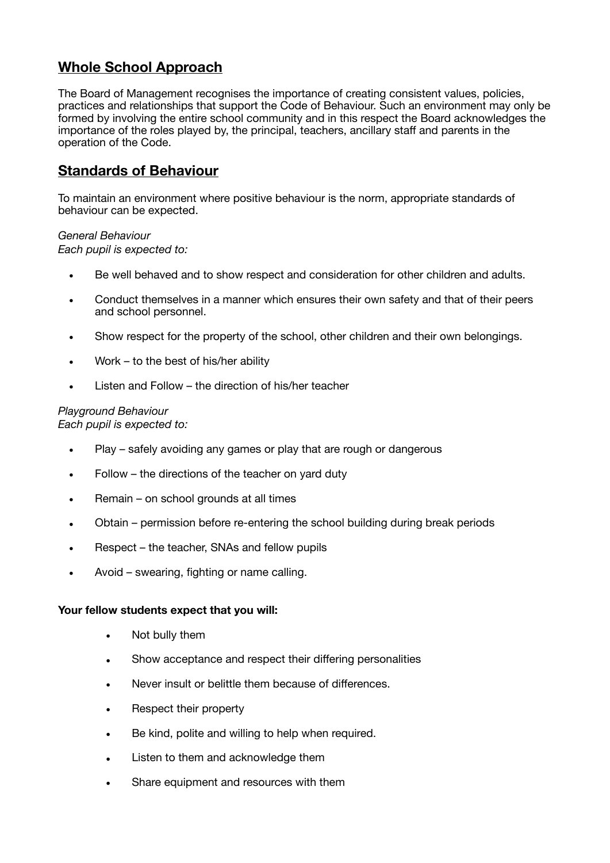## **Whole School Approach**

The Board of Management recognises the importance of creating consistent values, policies, practices and relationships that support the Code of Behaviour. Such an environment may only be formed by involving the entire school community and in this respect the Board acknowledges the importance of the roles played by, the principal, teachers, ancillary staff and parents in the operation of the Code.

## **Standards of Behaviour**

To maintain an environment where positive behaviour is the norm, appropriate standards of behaviour can be expected.

#### *General Behaviour*

*Each pupil is expected to:* 

- Be well behaved and to show respect and consideration for other children and adults.
- Conduct themselves in a manner which ensures their own safety and that of their peers and school personnel.
- Show respect for the property of the school, other children and their own belongings.
- Work to the best of his/her ability
- Listen and Follow the direction of his/her teacher

#### *Playground Behaviour*

*Each pupil is expected to:* 

- Play safely avoiding any games or play that are rough or dangerous
- Follow the directions of the teacher on yard duty
- Remain on school grounds at all times
- Obtain permission before re-entering the school building during break periods
- Respect the teacher, SNAs and fellow pupils
- Avoid swearing, fighting or name calling.

#### **Your fellow students expect that you will:**

- Not bully them
- Show acceptance and respect their differing personalities
- Never insult or belittle them because of differences.
- Respect their property
- Be kind, polite and willing to help when required.
- Listen to them and acknowledge them
- Share equipment and resources with them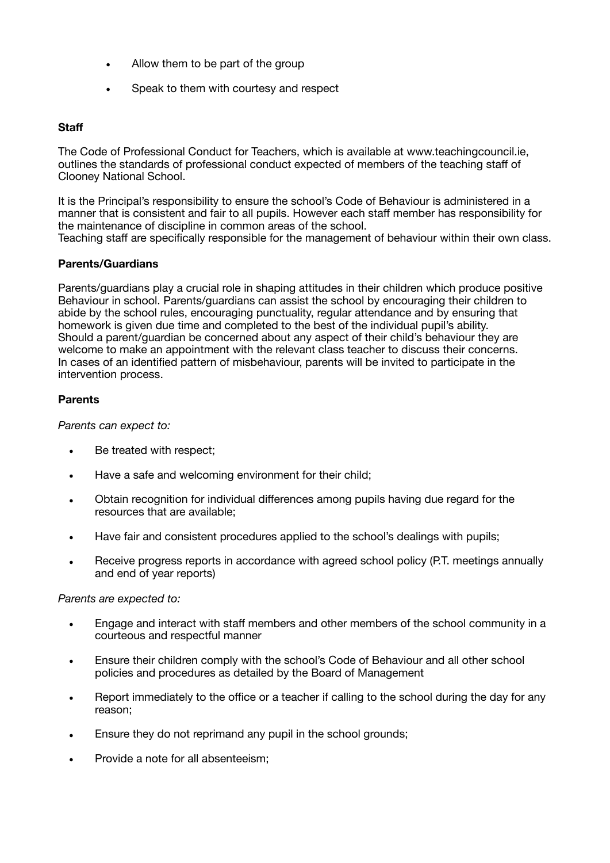- Allow them to be part of the group
- Speak to them with courtesy and respect

#### **Staff**

The Code of Professional Conduct for Teachers, which is available at www.teachingcouncil.ie, outlines the standards of professional conduct expected of members of the teaching staff of Clooney National School.

It is the Principal's responsibility to ensure the school's Code of Behaviour is administered in a manner that is consistent and fair to all pupils. However each staff member has responsibility for the maintenance of discipline in common areas of the school. Teaching staff are specifically responsible for the management of behaviour within their own class.

#### **Parents/Guardians**

Parents/guardians play a crucial role in shaping attitudes in their children which produce positive Behaviour in school. Parents/guardians can assist the school by encouraging their children to abide by the school rules, encouraging punctuality, regular attendance and by ensuring that homework is given due time and completed to the best of the individual pupil's ability. Should a parent/guardian be concerned about any aspect of their child's behaviour they are welcome to make an appointment with the relevant class teacher to discuss their concerns. In cases of an identified pattern of misbehaviour, parents will be invited to participate in the intervention process.

#### **Parents**

*Parents can expect to:* 

- Be treated with respect;
- Have a safe and welcoming environment for their child;
- Obtain recognition for individual differences among pupils having due regard for the resources that are available;
- Have fair and consistent procedures applied to the school's dealings with pupils;
- Receive progress reports in accordance with agreed school policy (P.T. meetings annually and end of year reports)

*Parents are expected to:* 

- Engage and interact with staff members and other members of the school community in a courteous and respectful manner
- Ensure their children comply with the school's Code of Behaviour and all other school policies and procedures as detailed by the Board of Management
- Report immediately to the office or a teacher if calling to the school during the day for any reason;
- Ensure they do not reprimand any pupil in the school grounds:
- Provide a note for all absenteeism;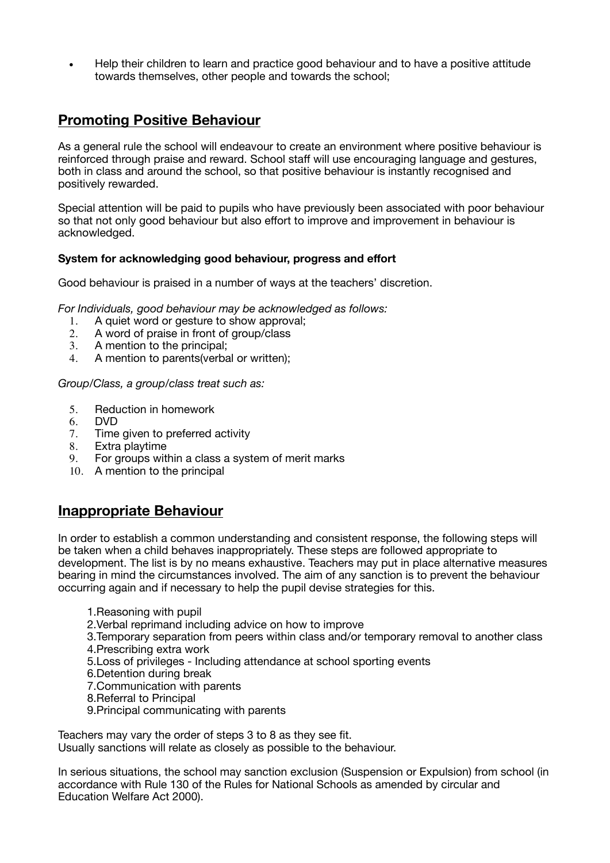• Help their children to learn and practice good behaviour and to have a positive attitude towards themselves, other people and towards the school;

## **Promoting Positive Behaviour**

As a general rule the school will endeavour to create an environment where positive behaviour is reinforced through praise and reward. School staff will use encouraging language and gestures, both in class and around the school, so that positive behaviour is instantly recognised and positively rewarded.

Special attention will be paid to pupils who have previously been associated with poor behaviour so that not only good behaviour but also effort to improve and improvement in behaviour is acknowledged.

#### **System for acknowledging good behaviour, progress and effort**

Good behaviour is praised in a number of ways at the teachers' discretion.

*For Individuals, good behaviour may be acknowledged as follows:* 

- 1. A quiet word or gesture to show approval;<br>2. A word of praise in front of group/class
- 2. A word of praise in front of group/class<br>3. A mention to the principal:
- 3. A mention to the principal;<br>4. A mention to parents(verba
- 4. A mention to parents(verbal or written);

*Group/Class, a group/class treat such as:* 

- 5. Reduction in homework
- 6. DVD
- 7. Time given to preferred activity
- 8. Extra playtime<br>9. For groups wit
- For groups within a class a system of merit marks
- 10. A mention to the principal

#### **Inappropriate Behaviour**

In order to establish a common understanding and consistent response, the following steps will be taken when a child behaves inappropriately. These steps are followed appropriate to development. The list is by no means exhaustive. Teachers may put in place alternative measures bearing in mind the circumstances involved. The aim of any sanction is to prevent the behaviour occurring again and if necessary to help the pupil devise strategies for this.

- 1.Reasoning with pupil
- 2.Verbal reprimand including advice on how to improve
- 3.Temporary separation from peers within class and/or temporary removal to another class 4.Prescribing extra work
- 5.Loss of privileges Including attendance at school sporting events
- 6.Detention during break
- 7.Communication with parents
- 8.Referral to Principal
- 9.Principal communicating with parents

Teachers may vary the order of steps 3 to 8 as they see fit. Usually sanctions will relate as closely as possible to the behaviour.

In serious situations, the school may sanction exclusion (Suspension or Expulsion) from school (in accordance with Rule 130 of the Rules for National Schools as amended by circular and Education Welfare Act 2000).